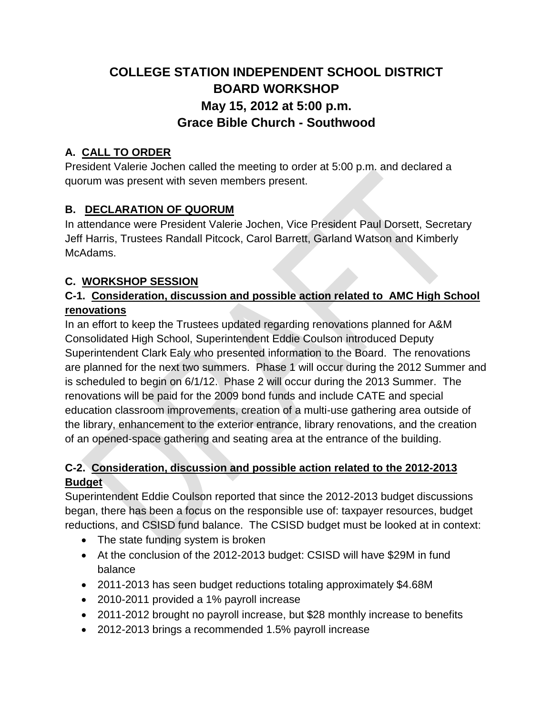# **COLLEGE STATION INDEPENDENT SCHOOL DISTRICT BOARD WORKSHOP May 15, 2012 at 5:00 p.m. Grace Bible Church - Southwood**

### **A. CALL TO ORDER**

President Valerie Jochen called the meeting to order at 5:00 p.m. and declared a quorum was present with seven members present.

## **B. DECLARATION OF QUORUM**

In attendance were President Valerie Jochen, Vice President Paul Dorsett, Secretary Jeff Harris, Trustees Randall Pitcock, Carol Barrett, Garland Watson and Kimberly McAdams.

#### **C. WORKSHOP SESSION**

#### **C-1. Consideration, discussion and possible action related to AMC High School renovations**

In an effort to keep the Trustees updated regarding renovations planned for A&M Consolidated High School, Superintendent Eddie Coulson introduced Deputy Superintendent Clark Ealy who presented information to the Board. The renovations are planned for the next two summers. Phase 1 will occur during the 2012 Summer and is scheduled to begin on 6/1/12. Phase 2 will occur during the 2013 Summer. The renovations will be paid for the 2009 bond funds and include CATE and special education classroom improvements, creation of a multi-use gathering area outside of the library, enhancement to the exterior entrance, library renovations, and the creation of an opened-space gathering and seating area at the entrance of the building.

#### **C-2. Consideration, discussion and possible action related to the 2012-2013 Budget**

Superintendent Eddie Coulson reported that since the 2012-2013 budget discussions began, there has been a focus on the responsible use of: taxpayer resources, budget reductions, and CSISD fund balance. The CSISD budget must be looked at in context:

- The state funding system is broken
- At the conclusion of the 2012-2013 budget: CSISD will have \$29M in fund balance
- 2011-2013 has seen budget reductions totaling approximately \$4.68M
- 2010-2011 provided a 1% payroll increase
- 2011-2012 brought no payroll increase, but \$28 monthly increase to benefits
- 2012-2013 brings a recommended 1.5% payroll increase